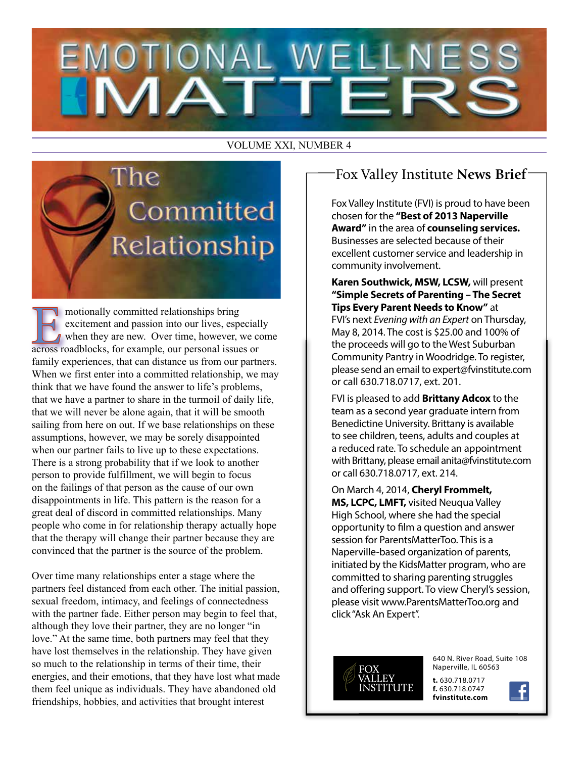# **EMOTIONAL WELLNES**

#### VOLUME XXI, NUMBER 4



motionally committed relationships bring excitement and passion into our lives, especially when they are new. Over time, however, we come across roadblocks, for example, our personal issues or family experiences, that can distance us from our partners. When we first enter into a committed relationship, we may think that we have found the answer to life's problems, that we have a partner to share in the turmoil of daily life, that we will never be alone again, that it will be smooth sailing from here on out. If we base relationships on these assumptions, however, we may be sorely disappointed when our partner fails to live up to these expectations. There is a strong probability that if we look to another person to provide fulfillment, we will begin to focus on the failings of that person as the cause of our own disappointments in life. This pattern is the reason for a great deal of discord in committed relationships. Many people who come in for relationship therapy actually hope that the therapy will change their partner because they are convinced that the partner is the source of the problem.

Over time many relationships enter a stage where the partners feel distanced from each other. The initial passion, sexual freedom, intimacy, and feelings of connectedness with the partner fade. Either person may begin to feel that, although they love their partner, they are no longer "in love." At the same time, both partners may feel that they have lost themselves in the relationship. They have given so much to the relationship in terms of their time, their energies, and their emotions, that they have lost what made them feel unique as individuals. They have abandoned old friendships, hobbies, and activities that brought interest

## Fox Valley Institute **News Brief**

Fox Valley Institute (FVI) is proud to have been chosen for the **"Best of 2013 Naperville Award"** in the area of **counseling services.** Businesses are selected because of their excellent customer service and leadership in community involvement.

**Karen Southwick, MSW, LCSW,** will present **"Simple Secrets of Parenting – The Secret Tips Every Parent Needs to Know"** at FVI's next *Evening with an Expert* on Thursday, May 8, 2014. The cost is \$25.00 and 100% of the proceeds will go to the West Suburban Community Pantry in Woodridge. To register, please send an email to expert@fvinstitute.com or call 630.718.0717, ext. 201.

FVI is pleased to add **Brittany Adcox** to the team as a second year graduate intern from Benedictine University. Brittany is available to see children, teens, adults and couples at a reduced rate. To schedule an appointment with Brittany, please email anita@fvinstitute.com or call 630.718.0717, ext. 214.

On March 4, 2014, **Cheryl Frommelt, MS, LCPC, LMFT,** visited Neuqua Valley High School, where she had the special opportunity to film a question and answer session for ParentsMatterToo. This is a Naperville-based organization of parents, initiated by the KidsMatter program, who are committed to sharing parenting struggles and offering support. To view Cheryl's session, please visit www.ParentsMatterToo.org and click "Ask An Expert".



640 N. River Road, Suite 108 Naperville, IL 60563

**t.** 630.718.0717 **f.** 630.718.0747 **fvinstitute.com**

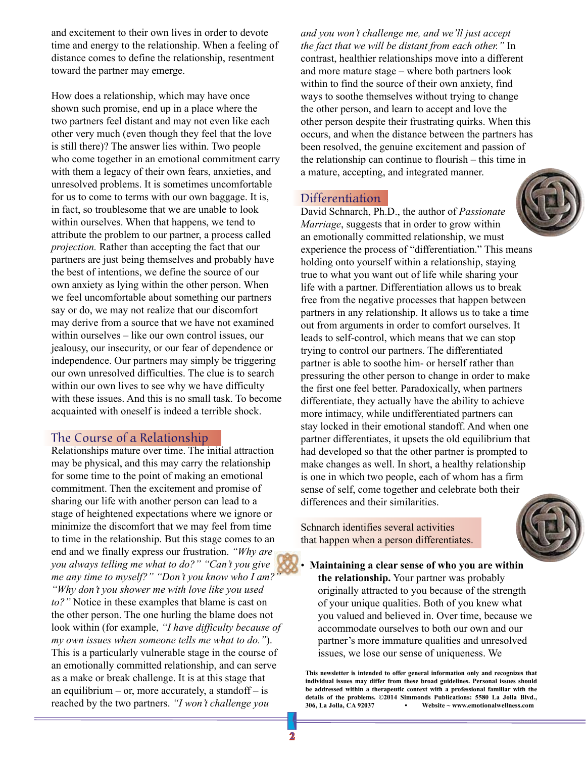and excitement to their own lives in order to devote time and energy to the relationship. When a feeling of distance comes to define the relationship, resentment toward the partner may emerge.

How does a relationship, which may have once shown such promise, end up in a place where the two partners feel distant and may not even like each other very much (even though they feel that the love is still there)? The answer lies within. Two people who come together in an emotional commitment carry with them a legacy of their own fears, anxieties, and unresolved problems. It is sometimes uncomfortable for us to come to terms with our own baggage. It is, in fact, so troublesome that we are unable to look within ourselves. When that happens, we tend to attribute the problem to our partner, a process called *projection.* Rather than accepting the fact that our partners are just being themselves and probably have the best of intentions, we define the source of our own anxiety as lying within the other person. When we feel uncomfortable about something our partners say or do, we may not realize that our discomfort may derive from a source that we have not examined within ourselves – like our own control issues, our jealousy, our insecurity, or our fear of dependence or independence. Our partners may simply be triggering our own unresolved difficulties. The clue is to search within our own lives to see why we have difficulty with these issues. And this is no small task. To become acquainted with oneself is indeed a terrible shock.

### The Course of a Relationship

Relationships mature over time. The initial attraction may be physical, and this may carry the relationship for some time to the point of making an emotional commitment. Then the excitement and promise of sharing our life with another person can lead to a stage of heightened expectations where we ignore or minimize the discomfort that we may feel from time to time in the relationship. But this stage comes to an end and we finally express our frustration. *"Why are you always telling me what to do?" "Can't you give me any time to myself?" "Don't you know who I am?" "Why don't you shower me with love like you used to?"* Notice in these examples that blame is cast on the other person. The one hurling the blame does not look within (for example, *"I have difficulty because of my own issues when someone tells me what to do."*). This is a particularly vulnerable stage in the course of an emotionally committed relationship, and can serve as a make or break challenge. It is at this stage that an equilibrium – or, more accurately, a standoff – is reached by the two partners. *"I won't challenge you* 

*and you won't challenge me, and we'll just accept the fact that we will be distant from each other."* In contrast, healthier relationships move into a different and more mature stage – where both partners look within to find the source of their own anxiety, find ways to soothe themselves without trying to change the other person, and learn to accept and love the other person despite their frustrating quirks. When this occurs, and when the distance between the partners has been resolved, the genuine excitement and passion of the relationship can continue to flourish – this time in a mature, accepting, and integrated manner.

### Differentiation



David Schnarch, Ph.D., the author of *Passionate Marriage*, suggests that in order to grow within an emotionally committed relationship, we must experience the process of "differentiation." This means holding onto yourself within a relationship, staying true to what you want out of life while sharing your life with a partner. Differentiation allows us to break free from the negative processes that happen between partners in any relationship. It allows us to take a time out from arguments in order to comfort ourselves. It leads to self-control, which means that we can stop trying to control our partners. The differentiated partner is able to soothe him- or herself rather than pressuring the other person to change in order to make the first one feel better. Paradoxically, when partners differentiate, they actually have the ability to achieve more intimacy, while undifferentiated partners can stay locked in their emotional standoff. And when one partner differentiates, it upsets the old equilibrium that had developed so that the other partner is prompted to make changes as well. In short, a healthy relationship is one in which two people, each of whom has a firm sense of self, come together and celebrate both their differences and their similarities.

Schnarch identifies several activities that happen when a person differentiates.



• **Maintaining a clear sense of who you are within the relationship.** Your partner was probably originally attracted to you because of the strength of your unique qualities. Both of you knew what you valued and believed in. Over time, because we accommodate ourselves to both our own and our partner's more immature qualities and unresolved issues, we lose our sense of uniqueness. We

**This newsletter is intended to offer general information only and recognizes that individual issues may differ from these broad guidelines. Personal issues should be addressed within a therapeutic context with a professional familiar with the details of the problems. ©2014 Simmonds Publications: 5580 La Jolla Blvd., 306, La Jolla, CA 92037 • Website ~ www.emotionalwellness.com**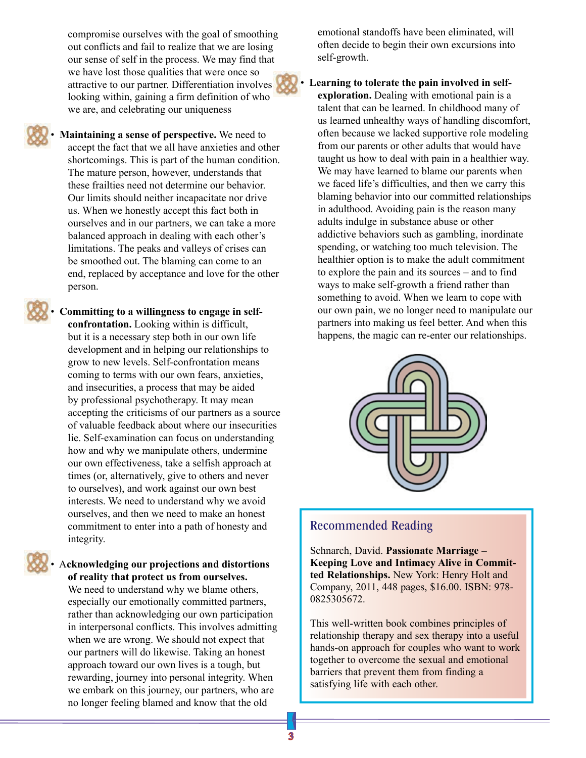compromise ourselves with the goal of smoothing out conflicts and fail to realize that we are losing our sense of self in the process. We may find that we have lost those qualities that were once so attractive to our partner. Differentiation involves looking within, gaining a firm definition of who we are, and celebrating our uniqueness



• **Maintaining a sense of perspective.** We need to accept the fact that we all have anxieties and other shortcomings. This is part of the human condition. The mature person, however, understands that these frailties need not determine our behavior. Our limits should neither incapacitate nor drive us. When we honestly accept this fact both in ourselves and in our partners, we can take a more balanced approach in dealing with each other's limitations. The peaks and valleys of crises can be smoothed out. The blaming can come to an end, replaced by acceptance and love for the other person.

• **Committing to a willingness to engage in selfconfrontation.** Looking within is difficult, but it is a necessary step both in our own life development and in helping our relationships to grow to new levels. Self-confrontation means coming to terms with our own fears, anxieties, and insecurities, a process that may be aided by professional psychotherapy. It may mean accepting the criticisms of our partners as a source of valuable feedback about where our insecurities lie. Self-examination can focus on understanding how and why we manipulate others, undermine our own effectiveness, take a selfish approach at times (or, alternatively, give to others and never to ourselves), and work against our own best interests. We need to understand why we avoid ourselves, and then we need to make an honest commitment to enter into a path of honesty and integrity.

#### • A**cknowledging our projections and distortions of reality that protect us from ourselves.**

We need to understand why we blame others, especially our emotionally committed partners, rather than acknowledging our own participation in interpersonal conflicts. This involves admitting when we are wrong. We should not expect that our partners will do likewise. Taking an honest approach toward our own lives is a tough, but rewarding, journey into personal integrity. When we embark on this journey, our partners, who are no longer feeling blamed and know that the old

emotional standoffs have been eliminated, will often decide to begin their own excursions into self-growth.

Learning to tolerate the pain involved in self**exploration.** Dealing with emotional pain is a talent that can be learned. In childhood many of us learned unhealthy ways of handling discomfort, often because we lacked supportive role modeling from our parents or other adults that would have taught us how to deal with pain in a healthier way. We may have learned to blame our parents when we faced life's difficulties, and then we carry this blaming behavior into our committed relationships in adulthood. Avoiding pain is the reason many adults indulge in substance abuse or other addictive behaviors such as gambling, inordinate spending, or watching too much television. The healthier option is to make the adult commitment to explore the pain and its sources – and to find ways to make self-growth a friend rather than something to avoid. When we learn to cope with our own pain, we no longer need to manipulate our partners into making us feel better. And when this happens, the magic can re-enter our relationships.



## Recommended Reading

Schnarch, David. **Passionate Marriage – Keeping Love and Intimacy Alive in Committed Relationships.** New York: Henry Holt and Company, 2011, 448 pages, \$16.00. ISBN: 978- 0825305672.

This well-written book combines principles of relationship therapy and sex therapy into a useful hands-on approach for couples who want to work together to overcome the sexual and emotional barriers that prevent them from finding a satisfying life with each other.